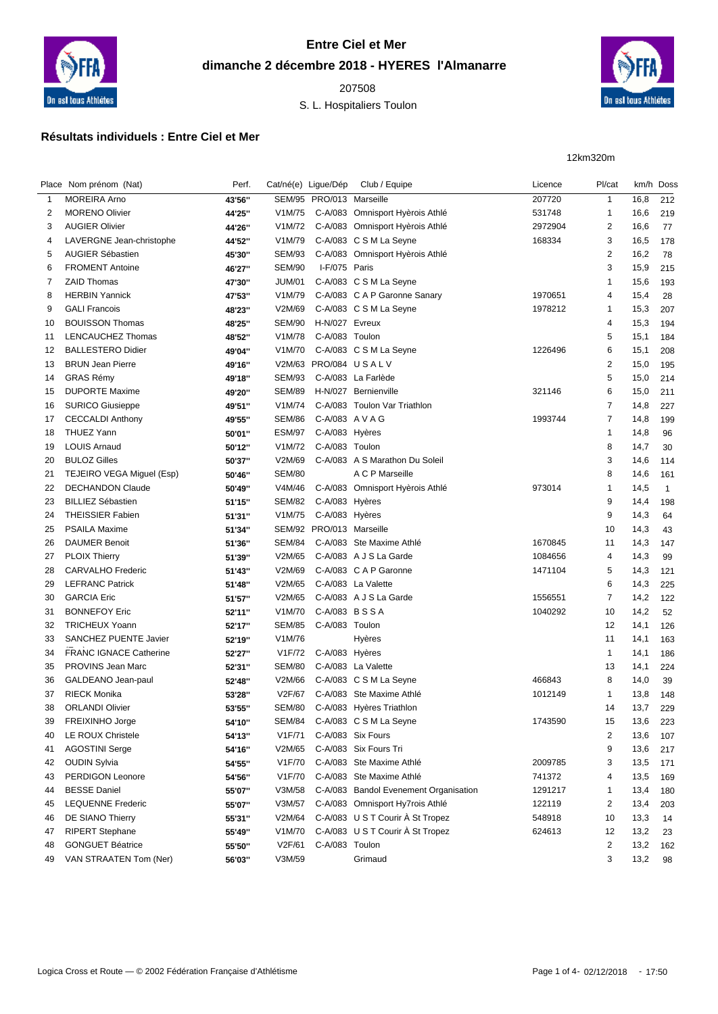

## **Entre Ciel et Mer dimanche 2 décembre 2018 - HYERES l'Almanarre**

S. L. Hospitaliers Toulon



## **Résultats individuels : Entre Ciel et Mer**

12km320m

|    | Place Nom prénom (Nat)        | Perf.  | Cat/né(e) Ligue/Dép |                          | Club / Equipe                         | Licence | Pl/cat                  | km/h | Doss         |
|----|-------------------------------|--------|---------------------|--------------------------|---------------------------------------|---------|-------------------------|------|--------------|
| 1  | <b>MOREIRA Arno</b>           | 43'56" |                     | SEM/95 PRO/013 Marseille |                                       | 207720  | $\mathbf{1}$            | 16,8 | 212          |
| 2  | <b>MORENO Olivier</b>         | 44'25" | V1M/75              |                          | C-A/083 Omnisport Hyèrois Athlé       | 531748  | $\mathbf{1}$            | 16,6 | 219          |
| 3  | <b>AUGIER Olivier</b>         | 44'26" | V1M/72              |                          | C-A/083 Omnisport Hyèrois Athlé       | 2972904 | $\overline{\mathbf{c}}$ | 16,6 | 77           |
| 4  | LAVERGNE Jean-christophe      | 44'52" | V1M/79              |                          | C-A/083 C S M La Seyne                | 168334  | 3                       | 16,5 | 178          |
| 5  | <b>AUGIER Sébastien</b>       | 45'30" | <b>SEM/93</b>       |                          | C-A/083 Omnisport Hyèrois Athlé       |         | 2                       | 16,2 | 78           |
| 6  | <b>FROMENT Antoine</b>        | 46'27" | <b>SEM/90</b>       | I-F/075 Paris            |                                       |         | 3                       | 15,9 | 215          |
| 7  | <b>ZAID Thomas</b>            | 47'30" | JUM/01              |                          | C-A/083 C S M La Seyne                |         | -1                      | 15,6 | 193          |
| 8  | <b>HERBIN Yannick</b>         | 47'53" | V1M/79              |                          | C-A/083 C A P Garonne Sanary          | 1970651 | 4                       | 15,4 | 28           |
| 9  | <b>GALI Francois</b>          | 48'23" | V2M/69              |                          | C-A/083 C S M La Seyne                | 1978212 | 1                       | 15,3 | 207          |
| 10 | <b>BOUISSON Thomas</b>        | 48'25" | <b>SEM/90</b>       | H-N/027 Evreux           |                                       |         | 4                       | 15,3 | 194          |
| 11 | LENCAUCHEZ Thomas             | 48'52" | V1M/78              | C-A/083 Toulon           |                                       |         | 5                       | 15,1 | 184          |
| 12 | <b>BALLESTERO Didier</b>      | 49'04" | V1M/70              |                          | C-A/083 C S M La Seyne                | 1226496 | 6                       | 15,1 | 208          |
| 13 | <b>BRUN Jean Pierre</b>       | 49'16" |                     |                          | V2M/63 PRO/084 USALV                  |         | $\overline{2}$          | 15,0 | 195          |
| 14 | <b>GRAS Rémy</b>              | 49'18" | <b>SEM/93</b>       |                          | C-A/083 La Farlède                    |         | 5                       | 15,0 | 214          |
| 15 | <b>DUPORTE Maxime</b>         | 49'20" | <b>SEM/89</b>       |                          | H-N/027 Bernienville                  | 321146  | 6                       | 15,0 | 211          |
| 16 | <b>SURICO Giusieppe</b>       | 49'51" | V1M/74              |                          | C-A/083 Toulon Var Triathlon          |         | 7                       | 14,8 | 227          |
| 17 | <b>CECCALDI Anthony</b>       | 49'55" | <b>SEM/86</b>       | C-A/083 A V A G          |                                       | 1993744 | 7                       | 14,8 | 199          |
| 18 | <b>THUEZ Yann</b>             | 50'01" | <b>ESM/97</b>       | C-A/083 Hyères           |                                       |         | $\mathbf 1$             | 14,8 | 96           |
| 19 | <b>LOUIS Arnaud</b>           | 50'12" | V1M/72              | C-A/083 Toulon           |                                       |         | 8                       | 14,7 | 30           |
| 20 | <b>BULOZ Gilles</b>           | 50'37" | V2M/69              |                          | C-A/083 A S Marathon Du Soleil        |         | 3                       | 14,6 | 114          |
| 21 | TEJEIRO VEGA Miguel (Esp)     | 50'46" | <b>SEM/80</b>       |                          | A C P Marseille                       |         | 8                       | 14,6 | 161          |
| 22 | <b>DECHANDON Claude</b>       | 50'49" | V4M/46              |                          | C-A/083 Omnisport Hyèrois Athlé       | 973014  | $\overline{1}$          | 14,5 | $\mathbf{1}$ |
| 23 | <b>BILLIEZ Sébastien</b>      | 51'15" | <b>SEM/82</b>       | C-A/083 Hyères           |                                       |         | 9                       | 14,4 | 198          |
| 24 | <b>THEISSIER Fabien</b>       | 51'31" | V1M/75              | C-A/083 Hyères           |                                       |         | 9                       | 14,3 | 64           |
| 25 | <b>PSAILA Maxime</b>          | 51'34" |                     | SEM/92 PRO/013 Marseille |                                       |         | 10                      | 14,3 | 43           |
| 26 | <b>DAUMER Benoit</b>          | 51'36" | SEM/84              |                          | C-A/083 Ste Maxime Athlé              | 1670845 | 11                      | 14,3 | 147          |
| 27 | <b>PLOIX Thierry</b>          | 51'39" | V2M/65              |                          | C-A/083 A J S La Garde                | 1084656 | 4                       | 14,3 | 99           |
| 28 | <b>CARVALHO Frederic</b>      | 51'43" | V2M/69              |                          | C-A/083 C A P Garonne                 | 1471104 | 5                       | 14,3 | 121          |
| 29 | <b>LEFRANC Patrick</b>        | 51'48" | V2M/65              |                          | C-A/083 La Valette                    |         | 6                       | 14,3 | 225          |
| 30 | <b>GARCIA Eric</b>            | 51'57" | V2M/65              |                          | C-A/083 A J S La Garde                | 1556551 | 7                       | 14,2 | 122          |
| 31 | <b>BONNEFOY Eric</b>          | 52'11" | V1M/70              | C-A/083 BSSA             |                                       | 1040292 | 10                      | 14,2 | 52           |
| 32 | <b>TRICHEUX Yoann</b>         | 52'17" | <b>SEM/85</b>       | C-A/083 Toulon           |                                       |         | 12                      | 14,1 | 126          |
| 33 | SANCHEZ PUENTE Javier         | 52'19" | V1M/76              |                          | Hyères                                |         | 11                      | 14,1 | 163          |
| 34 | <b>FRANC IGNACE Catherine</b> | 52'27" | V1F/72              | C-A/083 Hyères           |                                       |         | $\mathbf{1}$            | 14,1 | 186          |
| 35 | PROVINS Jean Marc             | 52'31" | <b>SEM/80</b>       |                          | C-A/083 La Valette                    |         | 13                      | 14,1 | 224          |
| 36 | GALDEANO Jean-paul            | 52'48" | V2M/66              |                          | C-A/083 C S M La Seyne                | 466843  | 8                       | 14,0 | 39           |
| 37 | <b>RIECK Monika</b>           | 53'28" | V2F/67              |                          | C-A/083 Ste Maxime Athlé              | 1012149 | $\mathbf 1$             | 13,8 | 148          |
| 38 | <b>ORLANDI Olivier</b>        | 53'55" | SEM/80              |                          | C-A/083 Hyères Triathlon              |         | 14                      | 13,7 | 229          |
| 39 | FREIXINHO Jorge               | 54'10" |                     |                          | SEM/84 C-A/083 CSM La Seyne           | 1743590 | 15                      | 13,6 | 223          |
| 40 | LE ROUX Christele             | 54'13" | V1F/71              |                          | C-A/083 Six Fours                     |         | 2                       | 13,6 | 107          |
| 41 | <b>AGOSTINI Serge</b>         | 54'16" | V2M/65              |                          | C-A/083 Six Fours Tri                 |         | 9                       | 13,6 | 217          |
| 42 | <b>OUDIN Sylvia</b>           | 54'55" | V1F/70              |                          | C-A/083 Ste Maxime Athlé              | 2009785 | 3                       | 13,5 | 171          |
| 43 | PERDIGON Leonore              | 54'56" | V1F/70              |                          | C-A/083 Ste Maxime Athlé              | 741372  | 4                       | 13,5 | 169          |
| 44 | <b>BESSE Daniel</b>           | 55'07" | V3M/58              |                          | C-A/083 Bandol Evenement Organisation | 1291217 | -1                      | 13,4 | 180          |
| 45 | <b>LEQUENNE Frederic</b>      | 55'07" | V3M/57              |                          | C-A/083 Omnisport Hy7rois Athlé       | 122119  | 2                       | 13,4 | 203          |
| 46 | DE SIANO Thierry              | 55'31" | V2M/64              |                          | C-A/083 U S T Courir À St Tropez      | 548918  | 10                      | 13,3 | 14           |
| 47 | <b>RIPERT Stephane</b>        | 55'49" | V1M/70              |                          | C-A/083 U S T Courir À St Tropez      | 624613  | 12                      | 13,2 | 23           |
| 48 | <b>GONGUET Béatrice</b>       | 55'50" | V2F/61              | C-A/083 Toulon           |                                       |         | $\overline{2}$          | 13,2 | 162          |
| 49 | VAN STRAATEN Tom (Ner)        | 56'03" | V3M/59              |                          | Grimaud                               |         | 3                       | 13,2 | 98           |
|    |                               |        |                     |                          |                                       |         |                         |      |              |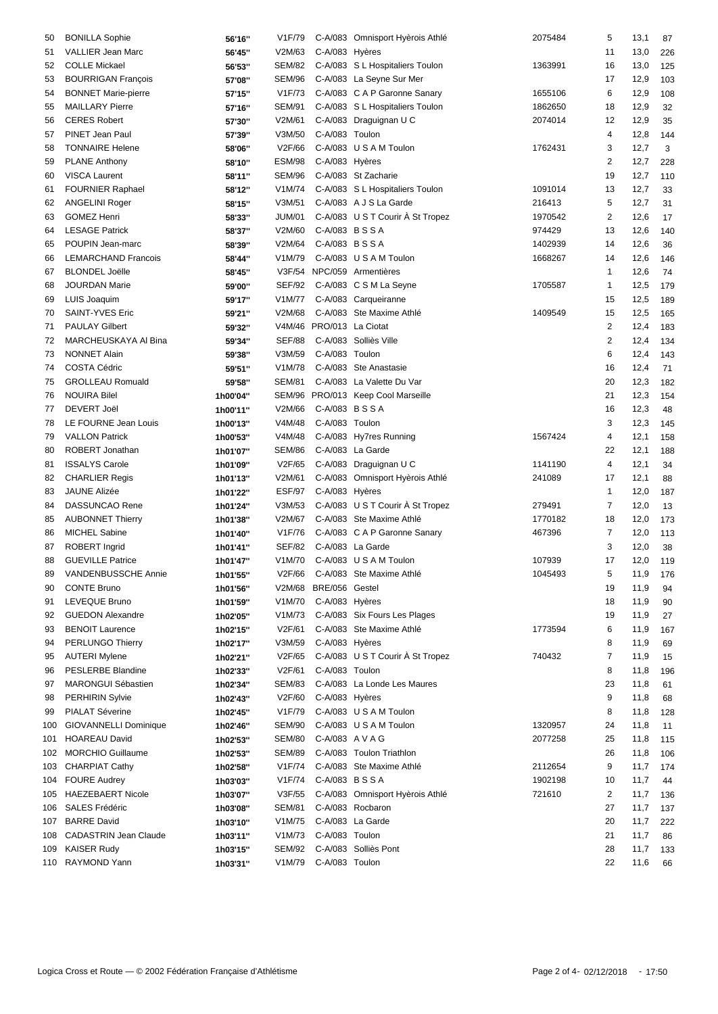| 50  | <b>BONILLA Sophie</b>        | 56'16"   | V <sub>1F</sub> /79 |                          | C-A/083 Omnisport Hyèrois Athlé  | 2075484 | 5                       | 13,1     | 87  |
|-----|------------------------------|----------|---------------------|--------------------------|----------------------------------|---------|-------------------------|----------|-----|
| 51  | <b>VALLIER Jean Marc</b>     | 56'45"   | V2M/63              | C-A/083 Hyères           |                                  |         | 11                      | 13,0     | 226 |
| 52  | <b>COLLE Mickael</b>         | 56'53"   | <b>SEM/82</b>       |                          | C-A/083 S L Hospitaliers Toulon  | 1363991 | 16                      | 13,0     | 125 |
| 53  | <b>BOURRIGAN François</b>    | 57'08"   | <b>SEM/96</b>       |                          | C-A/083 La Seyne Sur Mer         |         | 17                      | 12,9     | 103 |
| 54  | <b>BONNET Marie-pierre</b>   | 57'15"   | V1F/73              |                          | C-A/083 C A P Garonne Sanary     | 1655106 | 6                       | 12,9     | 108 |
| 55  | <b>MAILLARY Pierre</b>       | 57'16"   | <b>SEM/91</b>       |                          | C-A/083 S L Hospitaliers Toulon  | 1862650 | 18                      | 12,9     | 32  |
| 56  | <b>CERES Robert</b>          |          | V2M/61              |                          | C-A/083 Draguignan U C           | 2074014 | 12                      | 12,9     | 35  |
| 57  | PINET Jean Paul              | 57'30"   | V3M/50              | C-A/083 Toulon           |                                  |         | 4                       | 12,8     |     |
|     |                              | 57'39"   |                     |                          |                                  |         |                         |          | 144 |
| 58  | <b>TONNAIRE Helene</b>       | 58'06"   | V2F/66              |                          | C-A/083 U S A M Toulon           | 1762431 | 3                       | 12,7     | 3   |
| 59  | <b>PLANE Anthony</b>         | 58'10"   | <b>ESM/98</b>       | C-A/083 Hyères           |                                  |         | 2                       | 12,7     | 228 |
| 60  | <b>VISCA Laurent</b>         | 58'11"   | SEM/96              |                          | C-A/083 St Zacharie              |         | 19                      | 12,7     | 110 |
| 61  | <b>FOURNIER Raphael</b>      | 58'12"   | V1M/74              |                          | C-A/083 S L Hospitaliers Toulon  | 1091014 | 13                      | 12,7     | 33  |
| 62  | <b>ANGELINI Roger</b>        | 58'15"   | V3M/51              |                          | C-A/083 A J S La Garde           | 216413  | 5                       | 12,7     | 31  |
| 63  | <b>GOMEZ Henri</b>           | 58'33"   | <b>JUM/01</b>       |                          | C-A/083 U S T Courir A St Tropez | 1970542 | 2                       | 12,6     | 17  |
| 64  | <b>LESAGE Patrick</b>        | 58'37"   | V2M/60              | C-A/083 BSSA             |                                  | 974429  | 13                      | 12,6     | 140 |
| 65  | POUPIN Jean-marc             | 58'39"   | V2M/64              | C-A/083 BSSA             |                                  | 1402939 | 14                      | 12,6     | 36  |
| 66  | <b>LEMARCHAND Francois</b>   | 58'44"   | V1M/79              |                          | C-A/083 U S A M Toulon           | 1668267 | 14                      | 12,6     | 146 |
| 67  | <b>BLONDEL Joëlle</b>        | 58'45"   |                     |                          | V3F/54 NPC/059 Armentières       |         | 1                       | 12,6     | 74  |
| 68  | <b>JOURDAN Marie</b>         | 59'00"   | SEF/92              |                          | C-A/083 CSM La Seyne             | 1705587 | 1                       | 12,5     | 179 |
| 69  | LUIS Joaquim                 | 59'17"   | V1M/77              |                          | C-A/083 Carqueiranne             |         | 15                      | 12,5     | 189 |
| 70  | <b>SAINT-YVES Eric</b>       | 59'21"   | V2M/68              |                          | C-A/083 Ste Maxime Athlé         | 1409549 | 15                      | 12,5     | 165 |
| 71  | <b>PAULAY Gilbert</b>        | 59'32"   |                     | V4M/46 PRO/013 La Ciotat |                                  |         | 2                       | 12,4     | 183 |
| 72  | MARCHEUSKAYA AI Bina         | 59'34"   | <b>SEF/88</b>       |                          | C-A/083 Solliès Ville            |         | $\overline{\mathbf{c}}$ | 12,4     | 134 |
| 73  | <b>NONNET Alain</b>          | 59'38"   | V3M/59              | C-A/083 Toulon           |                                  |         | 6                       | 12,4     | 143 |
| 74  | <b>COSTA Cédric</b>          | 59'51"   | V1M/78              |                          | C-A/083 Ste Anastasie            |         | 16                      | 12,4     | 71  |
| 75  | <b>GROLLEAU Romuald</b>      | 59'58"   | <b>SEM/81</b>       |                          | C-A/083 La Valette Du Var        |         | 20                      | 12,3     | 182 |
| 76  | <b>NOUIRA Bilel</b>          |          | <b>SEM/96</b>       |                          | PRO/013 Keep Cool Marseille      |         | 21                      | 12,3     | 154 |
|     | DEVERT Joël                  | 1h00'04" | V2M/66              | C-A/083 BSSA             |                                  |         |                         | 12,3     |     |
| 77  |                              | 1h00'11" |                     |                          |                                  |         | 16                      |          | 48  |
| 78  | LE FOURNE Jean Louis         | 1h00'13" | V4M/48              | C-A/083 Toulon           |                                  |         | 3                       | 12,3     | 145 |
| 79  | <b>VALLON Patrick</b>        | 1h00'53" | V4M/48              |                          | C-A/083 Hy7res Running           | 1567424 | 4                       | 12,1     | 158 |
| 80  | ROBERT Jonathan              | 1h01'07" | <b>SEM/86</b>       |                          | C-A/083 La Garde                 |         | 22                      | 12,1     | 188 |
| 81  | <b>ISSALYS Carole</b>        | 1h01'09" | V2F/65              |                          | C-A/083 Draguignan U C           | 1141190 | 4                       | 12,1     | 34  |
| 82  | <b>CHARLIER Regis</b>        | 1h01'13" | V2M/61              |                          | C-A/083 Omnisport Hyèrois Athlé  | 241089  | 17                      | 12,1     | 88  |
| 83  | <b>JAUNE Alizée</b>          | 1h01'22" | <b>ESF/97</b>       | C-A/083 Hyères           |                                  |         | 1                       | 12,0     | 187 |
| 84  | <b>DASSUNCAO Rene</b>        | 1h01'24" | V3M/53              |                          | C-A/083 U S T Courir A St Tropez | 279491  | 7                       | 12,0     | 13  |
| 85  | <b>AUBONNET Thierry</b>      | 1h01'38" | V2M/67              |                          | C-A/083 Ste Maxime Athlé         | 1770182 | 18                      | 12,0     | 173 |
| 86  | <b>MICHEL Sabine</b>         | 1h01'40" | V1F/76              |                          | C-A/083 C A P Garonne Sanary     | 467396  | 7                       | 12,0     | 113 |
| 87  | <b>ROBERT</b> Ingrid         | 1h01'41" | <b>SEF/82</b>       |                          | C-A/083 La Garde                 |         | 3                       | 12,0     | 38  |
| 88  | <b>GUEVILLE Patrice</b>      | 1h01'47" | V1M/70              |                          | C-A/083 U S A M Toulon           | 107939  | 17                      | 12,0     | 119 |
|     | 89 VANDENBUSSCHE Annie       | 1h01'55" |                     |                          | V2F/66 C-A/083 Ste Maxime Athlé  | 1045493 | 5                       | 11,9 176 |     |
| 90  | <b>CONTE Bruno</b>           | 1h01'56" |                     | V2M/68 BRE/056 Gestel    |                                  |         | 19                      | 11,9     | 94  |
| 91  | LEVEQUE Bruno                | 1h01'59" | V1M/70              | C-A/083 Hyères           |                                  |         | 18                      | 11,9     | 90  |
| 92  | <b>GUEDON Alexandre</b>      | 1h02'05" | V1M/73              |                          | C-A/083 Six Fours Les Plages     |         | 19                      | 11,9     | 27  |
| 93  | <b>BENOIT Laurence</b>       | 1h02'15" | V2F/61              |                          | C-A/083 Ste Maxime Athlé         | 1773594 | 6                       | 11,9     | 167 |
| 94  | <b>PERLUNGO Thierry</b>      | 1h02'17" | V3M/59              | C-A/083 Hyères           |                                  |         | 8                       | 11,9     | 69  |
| 95  | <b>AUTERI Mylene</b>         | 1h02'21" | V2F/65              |                          | C-A/083 U S T Courir À St Tropez | 740432  | 7                       | 11,9     | 15  |
| 96  | <b>PESLERBE Blandine</b>     |          | V2F/61              | C-A/083 Toulon           |                                  |         | 8                       | 11,8     | 196 |
| 97  | <b>MARONGUI Sébastien</b>    | 1h02'33" | <b>SEM/83</b>       |                          | C-A/083 La Londe Les Maures      |         | 23                      | 11,8     |     |
|     |                              | 1h02'34" |                     |                          |                                  |         |                         |          | 61  |
| 98  | <b>PERHIRIN Sylvie</b>       | 1h02'43" | V2F/60              | C-A/083 Hyères           |                                  |         | 9                       | 11,8     | 68  |
| 99  | <b>PIALAT Séverine</b>       | 1h02'45" | V1F/79              |                          | C-A/083 U S A M Toulon           |         | 8                       | 11,8     | 128 |
| 100 | <b>GIOVANNELLI Dominique</b> | 1h02'46" | SEM/90              |                          | C-A/083 U S A M Toulon           | 1320957 | 24                      | 11,8     | 11  |
| 101 | <b>HOAREAU David</b>         | 1h02'53" | <b>SEM/80</b>       | C-A/083 A V A G          |                                  | 2077258 | 25                      | 11,8     | 115 |
|     | 102 MORCHIO Guillaume        | 1h02'53" | <b>SEM/89</b>       |                          | C-A/083 Toulon Triathlon         |         | 26                      | 11,8     | 106 |
|     | 103 CHARPIAT Cathy           | 1h02'58" | V1F/74              |                          | C-A/083 Ste Maxime Athlé         | 2112654 | 9                       | 11,7     | 174 |
|     | 104 FOURE Audrey             | 1h03'03" | V1F/74              | C-A/083 BSSA             |                                  | 1902198 | 10                      | 11,7     | 44  |
|     | 105 HAEZEBAERT Nicole        | 1h03'07" | V3F/55              |                          | C-A/083 Omnisport Hyèrois Athlé  | 721610  | 2                       | 11,7     | 136 |
| 106 | SALES Frédéric               | 1h03'08" | <b>SEM/81</b>       |                          | C-A/083 Rocbaron                 |         | 27                      | 11,7     | 137 |
| 107 | <b>BARRE David</b>           | 1h03'10" | V1M/75              |                          | C-A/083 La Garde                 |         | 20                      | 11,7     | 222 |
|     | 108 CADASTRIN Jean Claude    | 1h03'11" | V1M/73              | C-A/083 Toulon           |                                  |         | 21                      | 11,7     | 86  |
|     | 109 KAISER Rudy              | 1h03'15" | SEM/92              |                          | C-A/083 Solliès Pont             |         | 28                      | 11,7     | 133 |
|     | 110 RAYMOND Yann             | 1h03'31" | V1M/79              | C-A/083 Toulon           |                                  |         | 22                      | 11,6     | 66  |
|     |                              |          |                     |                          |                                  |         |                         |          |     |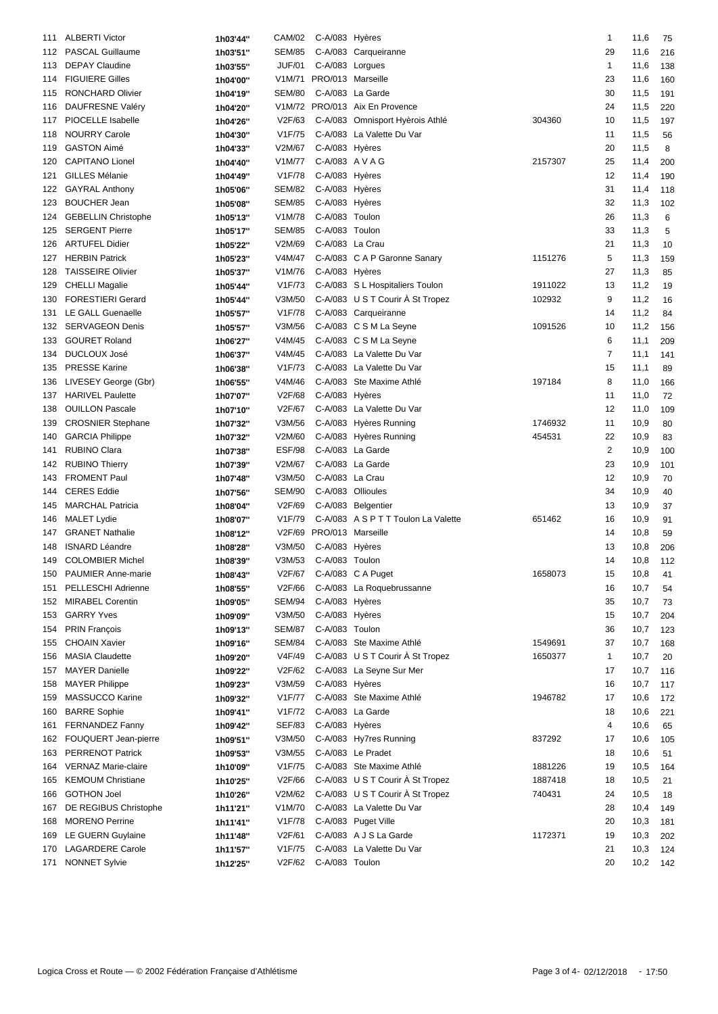| 111 | <b>ALBERTI Victor</b>      | 1h03'44" | CAM/02        | C-A/083 Hyères           |                                     |         | $\mathbf{1}$   | 11,6 | 75  |
|-----|----------------------------|----------|---------------|--------------------------|-------------------------------------|---------|----------------|------|-----|
| 112 | <b>PASCAL Guillaume</b>    | 1h03'51" | <b>SEM/85</b> |                          | C-A/083 Carqueiranne                |         | 29             | 11,6 | 216 |
| 113 | <b>DEPAY Claudine</b>      | 1h03'55" | <b>JUF/01</b> | C-A/083 Lorgues          |                                     |         | 1              | 11,6 | 138 |
| 114 | <b>FIGUIERE Gilles</b>     | 1h04'00" |               | V1M/71 PRO/013 Marseille |                                     |         | 23             | 11,6 | 160 |
| 115 | RONCHARD Olivier           |          | <b>SEM/80</b> |                          | C-A/083 La Garde                    |         | 30             | 11,5 | 191 |
|     | <b>DAUFRESNE Valéry</b>    | 1h04'19" |               |                          | V1M/72 PRO/013 Aix En Provence      |         | 24             |      |     |
| 116 |                            | 1h04'20" |               |                          |                                     |         |                | 11,5 | 220 |
| 117 | PIOCELLE Isabelle          | 1h04'26" | V2F/63        |                          | C-A/083 Omnisport Hyèrois Athlé     | 304360  | 10             | 11,5 | 197 |
| 118 | <b>NOURRY Carole</b>       | 1h04'30" | V1F/75        |                          | C-A/083 La Valette Du Var           |         | 11             | 11,5 | 56  |
| 119 | <b>GASTON Aimé</b>         | 1h04'33" | V2M/67        | C-A/083 Hyères           |                                     |         | 20             | 11,5 | 8   |
| 120 | <b>CAPITANO Lionel</b>     | 1h04'40" | V1M/77        | C-A/083 A V A G          |                                     | 2157307 | 25             | 11,4 | 200 |
| 121 | <b>GILLES Mélanie</b>      | 1h04'49" | V1F/78        | C-A/083 Hyères           |                                     |         | 12             | 11,4 | 190 |
| 122 | <b>GAYRAL Anthony</b>      | 1h05'06" | <b>SEM/82</b> | C-A/083 Hyères           |                                     |         | 31             | 11,4 | 118 |
| 123 | <b>BOUCHER Jean</b>        | 1h05'08" | <b>SEM/85</b> | C-A/083 Hyères           |                                     |         | 32             | 11,3 | 102 |
| 124 | <b>GEBELLIN Christophe</b> | 1h05'13" | V1M/78        | C-A/083 Toulon           |                                     |         | 26             | 11,3 | 6   |
| 125 | <b>SERGENT Pierre</b>      | 1h05'17" | <b>SEM/85</b> | C-A/083 Toulon           |                                     |         | 33             | 11,3 | 5   |
| 126 | <b>ARTUFEL Didier</b>      | 1h05'22" | V2M/69        | C-A/083 La Crau          |                                     |         | 21             | 11,3 | 10  |
| 127 | <b>HERBIN Patrick</b>      | 1h05'23" | V4M/47        |                          | C-A/083 C A P Garonne Sanary        | 1151276 | 5              | 11,3 | 159 |
| 128 | <b>TAISSEIRE Olivier</b>   | 1h05'37" | V1M/76        | C-A/083 Hyères           |                                     |         | 27             | 11,3 | 85  |
| 129 | <b>CHELLI Magalie</b>      | 1h05'44" | V1F/73        |                          | C-A/083 S L Hospitaliers Toulon     | 1911022 | 13             | 11,2 | 19  |
| 130 | <b>FORESTIERI Gerard</b>   | 1h05'44" | V3M/50        |                          | C-A/083 U S T Courir A St Tropez    | 102932  | 9              | 11,2 | 16  |
| 131 | <b>LE GALL Guenaelle</b>   | 1h05'57" | V1F/78        |                          | C-A/083 Carqueiranne                |         | 14             | 11,2 | 84  |
| 132 | <b>SERVAGEON Denis</b>     | 1h05'57" | V3M/56        |                          | C-A/083 C S M La Seyne              | 1091526 | 10             | 11,2 | 156 |
| 133 | <b>GOURET Roland</b>       | 1h06'27" | V4M/45        |                          | C-A/083 C S M La Seyne              |         | 6              | 11,1 | 209 |
| 134 | <b>DUCLOUX José</b>        | 1h06'37" | V4M/45        |                          | C-A/083 La Valette Du Var           |         | 7              | 11,1 | 141 |
| 135 | <b>PRESSE Karine</b>       | 1h06'38" | V1F/73        |                          | C-A/083 La Valette Du Var           |         | 15             | 11,1 | 89  |
|     | LIVESEY George (Gbr)       |          | V4M/46        |                          | C-A/083 Ste Maxime Athlé            | 197184  | 8              |      |     |
| 136 | <b>HARIVEL Paulette</b>    | 1h06'55" | V2F/68        |                          |                                     |         |                | 11,0 | 166 |
| 137 | <b>OUILLON Pascale</b>     | 1h07'07" | V2F/67        | C-A/083 Hyères           | C-A/083 La Valette Du Var           |         | 11             | 11,0 | 72  |
| 138 |                            | 1h07'10" |               |                          |                                     |         | 12             | 11,0 | 109 |
| 139 | <b>CROSNIER Stephane</b>   | 1h07'32" | V3M/56        |                          | C-A/083 Hyères Running              | 1746932 | 11             | 10,9 | 80  |
| 140 | <b>GARCIA Philippe</b>     | 1h07'32" | V2M/60        |                          | C-A/083 Hyères Running              | 454531  | 22             | 10,9 | 83  |
| 141 | <b>RUBINO Clara</b>        | 1h07'38" | ESF/98        |                          | C-A/083 La Garde                    |         | $\overline{2}$ | 10,9 | 100 |
| 142 | <b>RUBINO Thierry</b>      | 1h07'39" | V2M/67        |                          | C-A/083 La Garde                    |         | 23             | 10,9 | 101 |
| 143 | <b>FROMENT Paul</b>        | 1h07'48" | V3M/50        | C-A/083 La Crau          |                                     |         | 12             | 10,9 | 70  |
| 144 | <b>CERES</b> Eddie         | 1h07'56" | <b>SEM/90</b> | C-A/083 Ollioules        |                                     |         | 34             | 10,9 | 40  |
| 145 | <b>MARCHAL Patricia</b>    | 1h08'04" | V2F/69        |                          | C-A/083 Belgentier                  |         | 13             | 10,9 | 37  |
| 146 | <b>MALET Lydie</b>         | 1h08'07" | V1F/79        |                          | C-A/083 A S P T T Toulon La Valette | 651462  | 16             | 10,9 | 91  |
| 147 | <b>GRANET Nathalie</b>     | 1h08'12" |               | V2F/69 PRO/013 Marseille |                                     |         | 14             | 10,8 | 59  |
| 148 | <b>ISNARD Léandre</b>      | 1h08'28" | V3M/50        | C-A/083 Hyères           |                                     |         | 13             | 10,8 | 206 |
| 149 | <b>COLOMBIER Michel</b>    | 1h08'39" | V3M/53        | C-A/083 Toulon           |                                     |         | 14             | 10,8 | 112 |
|     | 150 PAUMIER Anne-marie     | 1h08'43" |               |                          | V2F/67 C-A/083 C A Puget            | 1658073 | 15             | 10,8 | 41  |
| 151 | PELLESCHI Adrienne         | 1h08'55" | V2F/66        |                          | C-A/083 La Roquebrussanne           |         | 16             | 10,7 | 54  |
| 152 | <b>MIRABEL Corentin</b>    | 1h09'05" | SEM/94        | C-A/083 Hyères           |                                     |         | 35             | 10,7 | 73  |
| 153 | <b>GARRY Yves</b>          | 1h09'09" | V3M/50        | C-A/083 Hyères           |                                     |         | 15             | 10,7 | 204 |
| 154 | <b>PRIN François</b>       | 1h09'13" | <b>SEM/87</b> | C-A/083 Toulon           |                                     |         | 36             | 10,7 | 123 |
| 155 | <b>CHOAIN Xavier</b>       | 1h09'16" | <b>SEM/84</b> |                          | C-A/083 Ste Maxime Athlé            | 1549691 | 37             | 10,7 | 168 |
| 156 | <b>MASIA Claudette</b>     | 1h09'20" | V4F/49        |                          | C-A/083 U S T Courir A St Tropez    | 1650377 | $\mathbf{1}$   | 10,7 | 20  |
| 157 | <b>MAYER Danielle</b>      |          | V2F/62        |                          | C-A/083 La Seyne Sur Mer            |         | 17             | 10,7 | 116 |
|     | <b>MAYER Philippe</b>      | 1h09'22" | V3M/59        | C-A/083 Hyères           |                                     |         | 16             |      |     |
| 158 |                            | 1h09'23" |               |                          |                                     |         |                | 10,7 | 117 |
| 159 | MASSUCCO Karine            | 1h09'32" | V1F/77        |                          | C-A/083 Ste Maxime Athlé            | 1946782 | 17             | 10,6 | 172 |
| 160 | <b>BARRE Sophie</b>        | 1h09'41" | V1F/72        |                          | C-A/083 La Garde                    |         | 18             | 10,6 | 221 |
| 161 | <b>FERNANDEZ Fanny</b>     | 1h09'42" | SEF/83        | C-A/083 Hyères           |                                     |         | 4              | 10,6 | 65  |
| 162 | FOUQUERT Jean-pierre       | 1h09'51" | V3M/50        |                          | C-A/083 Hy7res Running              | 837292  | 17             | 10,6 | 105 |
| 163 | PERRENOT Patrick           | 1h09'53" | V3M/55        |                          | C-A/083 Le Pradet                   |         | 18             | 10,6 | 51  |
| 164 | <b>VERNAZ Marie-claire</b> | 1h10'09" | V1F/75        |                          | C-A/083 Ste Maxime Athlé            | 1881226 | 19             | 10,5 | 164 |
| 165 | <b>KEMOUM Christiane</b>   | 1h10'25" | V2F/66        |                          | C-A/083 U S T Courir À St Tropez    | 1887418 | 18             | 10,5 | 21  |
| 166 | <b>GOTHON Joel</b>         | 1h10'26" | V2M/62        |                          | C-A/083 U S T Courir À St Tropez    | 740431  | 24             | 10,5 | 18  |
| 167 | DE REGIBUS Christophe      | 1h11'21" | V1M/70        |                          | C-A/083 La Valette Du Var           |         | 28             | 10,4 | 149 |
| 168 | <b>MORENO Perrine</b>      | 1h11'41" | V1F/78        |                          | C-A/083 Puget Ville                 |         | 20             | 10,3 | 181 |
| 169 | LE GUERN Guylaine          | 1h11'48" | V2F/61        |                          | C-A/083 A J S La Garde              | 1172371 | 19             | 10,3 | 202 |
| 170 | <b>LAGARDERE Carole</b>    | 1h11'57" | V1F/75        |                          | C-A/083 La Valette Du Var           |         | 21             | 10,3 | 124 |
| 171 | <b>NONNET Sylvie</b>       | 1h12'25" | V2F/62        | C-A/083 Toulon           |                                     |         | 20             | 10,2 | 142 |
|     |                            |          |               |                          |                                     |         |                |      |     |